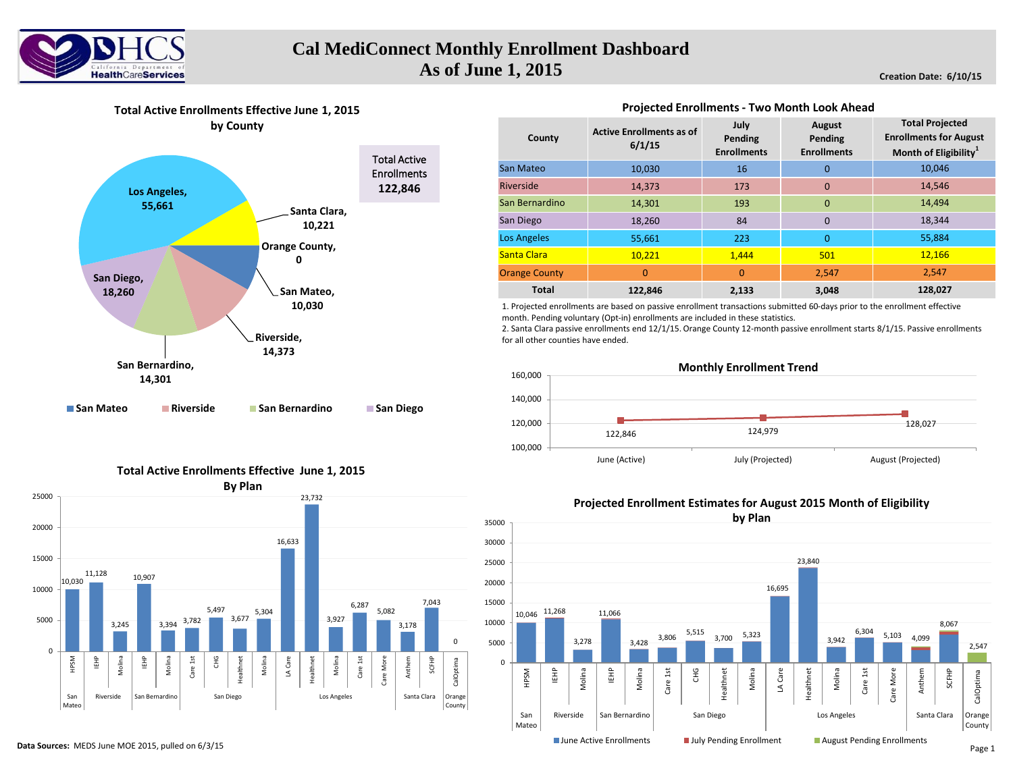

**Creation Date: 6/10/15**



# **Total Active Enrollments Effective June 1, 2015**

**by County**

| County               | <b>Active Enrollments as of</b><br>6/1/15 | July<br>Pending<br><b>Enrollments</b> | <b>August</b><br>Pending<br><b>Enrollments</b> | <b>Total Projected</b><br><b>Enrollments for August</b><br>Month of Eligibility <sup>1</sup> |
|----------------------|-------------------------------------------|---------------------------------------|------------------------------------------------|----------------------------------------------------------------------------------------------|
| <b>San Mateo</b>     | 10,030                                    | 16                                    | 0                                              | 10,046                                                                                       |
| Riverside            | 14,373                                    | 173                                   | $\mathbf{0}$                                   | 14,546                                                                                       |
| San Bernardino       | 14,301                                    | 193                                   | $\mathbf{0}$                                   | 14,494                                                                                       |
| San Diego            | 18,260                                    | 84                                    | $\Omega$                                       | 18,344                                                                                       |
| <b>Los Angeles</b>   | 55,661                                    | 223                                   | $\overline{0}$                                 | 55,884                                                                                       |
| Santa Clara          | 10,221                                    | 1,444                                 | 501                                            | 12,166                                                                                       |
| <b>Orange County</b> | $\overline{0}$                            | $\overline{0}$                        | 2,547                                          | 2,547                                                                                        |
| <b>Total</b>         | 122.846                                   | 2,133                                 | 3,048                                          | 128,027                                                                                      |

## **Projected Enrollments - Two Month Look Ahead**

1. Projected enrollments are based on passive enrollment transactions submitted 60-days prior to the enrollment effective month. Pending voluntary (Opt-in) enrollments are included in these statistics.

2. Santa Clara passive enrollments end 12/1/15. Orange County 12-month passive enrollment starts 8/1/15. Passive enrollments for all other counties have ended.



#### 10,030 11,128 3,245 10,907 3,394 3,782 5,497 3,677 5,304 16,633 23,732 3,927 6,287 5,082 3,178 7,043 0 0 5000 10000 15000 20000 25000 HPSM IEHP Molina IEHP Molina Care 1st CHG Healthnet Molina LA Care Healthnet Molina Care 1st Care More Anthem SCFHP CalOptima San Mateo Riverside San Bernardino San Diego National Los Angeles Santa Clara Orange County **By Plan**

### **Total Active Enrollments Effective June 1, 2015**

**Projected Enrollment Estimates for August 2015 Month of Eligibility**